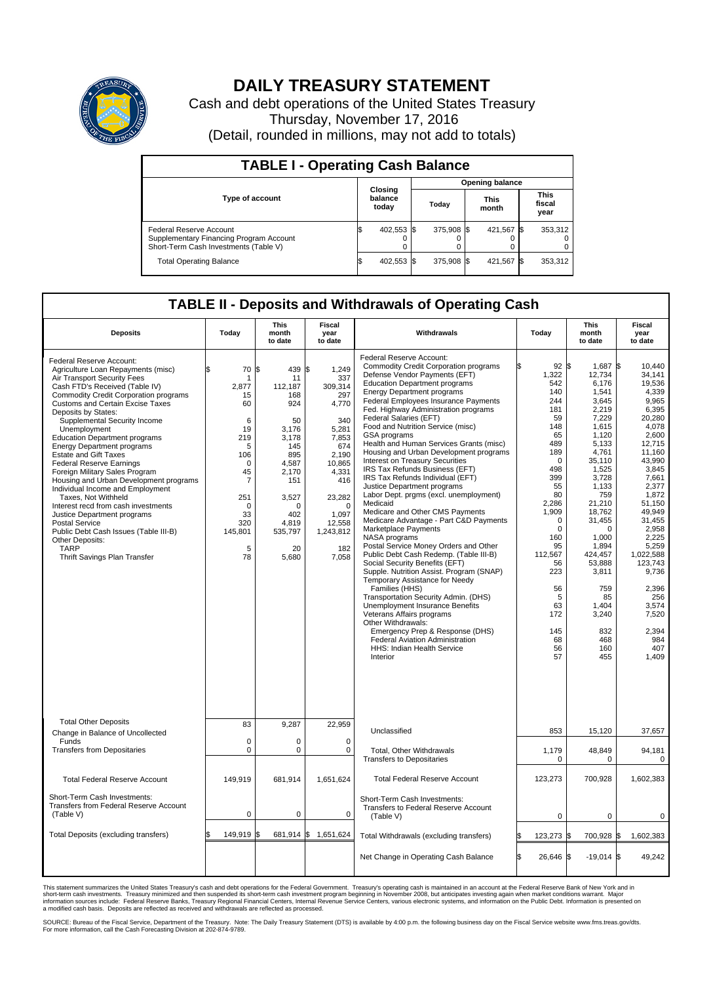

## **DAILY TREASURY STATEMENT**

Cash and debt operations of the United States Treasury Thursday, November 17, 2016 (Detail, rounded in millions, may not add to totals)

| <b>TABLE I - Operating Cash Balance</b>                                                                     |    |                             |  |                        |  |                      |     |                               |  |  |  |
|-------------------------------------------------------------------------------------------------------------|----|-----------------------------|--|------------------------|--|----------------------|-----|-------------------------------|--|--|--|
|                                                                                                             |    | Closing<br>balance<br>today |  | <b>Opening balance</b> |  |                      |     |                               |  |  |  |
| <b>Type of account</b>                                                                                      |    |                             |  | Today                  |  | <b>This</b><br>month |     | <b>This</b><br>fiscal<br>year |  |  |  |
| Federal Reserve Account<br>Supplementary Financing Program Account<br>Short-Term Cash Investments (Table V) |    | 402,553 \$                  |  | 375.908 \$             |  | 421,567              | 1\$ | 353,312                       |  |  |  |
| <b>Total Operating Balance</b>                                                                              | ß. | 402,553 \$                  |  | 375,908 \$             |  | 421,567 \$           |     | 353,312                       |  |  |  |

## **TABLE II - Deposits and Withdrawals of Operating Cash**

| <b>Deposits</b>                                                                                                                                                                                                                                                                                                                                                                                                                                                                                                                                                                                                                                                                                                                                                                                    | Today                                                                                                                                                          | This<br>month<br>to date                                                                                                                                                   | Fiscal<br>year<br>to date                                                                                                                                                        | Withdrawals                                                                                                                                                                                                                                                                                                                                                                                                                                                                                                                                                                                                                                                                                                                                                                                                                                                                                                                                                                                                                                                                                                                                                                                                                                            | Today                                                                                                                                                                                                                                             | <b>This</b><br>month<br>to date                                                                                                                                                                                                                                                                          | Fiscal<br>year<br>to date                                                                                                                                                                                                                                                                                              |  |
|----------------------------------------------------------------------------------------------------------------------------------------------------------------------------------------------------------------------------------------------------------------------------------------------------------------------------------------------------------------------------------------------------------------------------------------------------------------------------------------------------------------------------------------------------------------------------------------------------------------------------------------------------------------------------------------------------------------------------------------------------------------------------------------------------|----------------------------------------------------------------------------------------------------------------------------------------------------------------|----------------------------------------------------------------------------------------------------------------------------------------------------------------------------|----------------------------------------------------------------------------------------------------------------------------------------------------------------------------------|--------------------------------------------------------------------------------------------------------------------------------------------------------------------------------------------------------------------------------------------------------------------------------------------------------------------------------------------------------------------------------------------------------------------------------------------------------------------------------------------------------------------------------------------------------------------------------------------------------------------------------------------------------------------------------------------------------------------------------------------------------------------------------------------------------------------------------------------------------------------------------------------------------------------------------------------------------------------------------------------------------------------------------------------------------------------------------------------------------------------------------------------------------------------------------------------------------------------------------------------------------|---------------------------------------------------------------------------------------------------------------------------------------------------------------------------------------------------------------------------------------------------|----------------------------------------------------------------------------------------------------------------------------------------------------------------------------------------------------------------------------------------------------------------------------------------------------------|------------------------------------------------------------------------------------------------------------------------------------------------------------------------------------------------------------------------------------------------------------------------------------------------------------------------|--|
| Federal Reserve Account:<br>Agriculture Loan Repayments (misc)<br>Air Transport Security Fees<br>Cash FTD's Received (Table IV)<br><b>Commodity Credit Corporation programs</b><br><b>Customs and Certain Excise Taxes</b><br>Deposits by States:<br>Supplemental Security Income<br>Unemployment<br><b>Education Department programs</b><br><b>Energy Department programs</b><br><b>Estate and Gift Taxes</b><br><b>Federal Reserve Earnings</b><br>Foreign Military Sales Program<br>Housing and Urban Development programs<br>Individual Income and Employment<br>Taxes, Not Withheld<br>Interest recd from cash investments<br>Justice Department programs<br><b>Postal Service</b><br>Public Debt Cash Issues (Table III-B)<br>Other Deposits:<br><b>TARP</b><br>Thrift Savings Plan Transfer | 70<br>\$<br>-1<br>2,877<br>15<br>60<br>6<br>19<br>219<br>5<br>106<br>$\mathbf 0$<br>45<br>$\overline{7}$<br>251<br>$\Omega$<br>33<br>320<br>145,801<br>5<br>78 | l\$<br>439 \$<br>11<br>112,187<br>168<br>924<br>50<br>3,176<br>3,178<br>145<br>895<br>4,587<br>2.170<br>151<br>3,527<br>$\Omega$<br>402<br>4,819<br>535,797<br>20<br>5,680 | 1,249<br>337<br>309,314<br>297<br>4,770<br>340<br>5,281<br>7,853<br>674<br>2,190<br>10,865<br>4,331<br>416<br>23,282<br>$\Omega$<br>1.097<br>12,558<br>1,243,812<br>182<br>7,058 | Federal Reserve Account:<br><b>Commodity Credit Corporation programs</b><br>Defense Vendor Payments (EFT)<br><b>Education Department programs</b><br><b>Energy Department programs</b><br><b>Federal Employees Insurance Payments</b><br>Fed. Highway Administration programs<br><b>Federal Salaries (EFT)</b><br>Food and Nutrition Service (misc)<br>GSA programs<br>Health and Human Services Grants (misc)<br>Housing and Urban Development programs<br>Interest on Treasury Securities<br>IRS Tax Refunds Business (EFT)<br>IRS Tax Refunds Individual (EFT)<br>Justice Department programs<br>Labor Dept. prgms (excl. unemployment)<br>Medicaid<br>Medicare and Other CMS Payments<br>Medicare Advantage - Part C&D Payments<br>Marketplace Payments<br>NASA programs<br>Postal Service Money Orders and Other<br>Public Debt Cash Redemp. (Table III-B)<br>Social Security Benefits (EFT)<br>Supple. Nutrition Assist. Program (SNAP)<br>Temporary Assistance for Needy<br>Families (HHS)<br>Transportation Security Admin. (DHS)<br>Unemployment Insurance Benefits<br>Veterans Affairs programs<br>Other Withdrawals:<br>Emergency Prep & Response (DHS)<br><b>Federal Aviation Administration</b><br>HHS: Indian Health Service<br>Interior | 92<br>1,322<br>542<br>140<br>244<br>181<br>59<br>148<br>65<br>489<br>189<br>$\Omega$<br>498<br>399<br>55<br>80<br>2,286<br>1,909<br>$\mathbf 0$<br>$\Omega$<br>160<br>95<br>112,567<br>56<br>223<br>56<br>5<br>63<br>172<br>145<br>68<br>56<br>57 | l\$<br>1,687<br>12,734<br>6.176<br>1,541<br>3,645<br>2,219<br>7.229<br>1,615<br>1,120<br>5,133<br>4,761<br>35,110<br>1,525<br>3,728<br>1,133<br>759<br>21,210<br>18.762<br>31,455<br>$\Omega$<br>1,000<br>1,894<br>424.457<br>53,888<br>3,811<br>759<br>85<br>1,404<br>3,240<br>832<br>468<br>160<br>455 | 1\$<br>10,440<br>34.141<br>19.536<br>4,339<br>9,965<br>6,395<br>20.280<br>4,078<br>2,600<br>12,715<br>11.160<br>43,990<br>3,845<br>7,661<br>2,377<br>1.872<br>51,150<br>49,949<br>31.455<br>2,958<br>2,225<br>5,259<br>1.022.588<br>123,743<br>9,736<br>2,396<br>256<br>3,574<br>7,520<br>2.394<br>984<br>407<br>1.409 |  |
| <b>Total Other Deposits</b><br>Change in Balance of Uncollected                                                                                                                                                                                                                                                                                                                                                                                                                                                                                                                                                                                                                                                                                                                                    | 83                                                                                                                                                             | 9,287                                                                                                                                                                      | 22,959                                                                                                                                                                           | Unclassified                                                                                                                                                                                                                                                                                                                                                                                                                                                                                                                                                                                                                                                                                                                                                                                                                                                                                                                                                                                                                                                                                                                                                                                                                                           | 853                                                                                                                                                                                                                                               | 15,120                                                                                                                                                                                                                                                                                                   | 37,657                                                                                                                                                                                                                                                                                                                 |  |
| Funds<br><b>Transfers from Depositaries</b>                                                                                                                                                                                                                                                                                                                                                                                                                                                                                                                                                                                                                                                                                                                                                        | $\mathbf 0$<br>$\mathbf 0$                                                                                                                                     | $\Omega$<br>0                                                                                                                                                              | $\Omega$<br>$\mathbf 0$                                                                                                                                                          | Total, Other Withdrawals<br><b>Transfers to Depositaries</b>                                                                                                                                                                                                                                                                                                                                                                                                                                                                                                                                                                                                                                                                                                                                                                                                                                                                                                                                                                                                                                                                                                                                                                                           | 1,179<br>$\mathbf 0$                                                                                                                                                                                                                              | 48,849<br>$\mathbf 0$                                                                                                                                                                                                                                                                                    | 94,181<br>$\mathbf 0$                                                                                                                                                                                                                                                                                                  |  |
| <b>Total Federal Reserve Account</b>                                                                                                                                                                                                                                                                                                                                                                                                                                                                                                                                                                                                                                                                                                                                                               | 149,919                                                                                                                                                        | 681,914                                                                                                                                                                    | 1,651,624                                                                                                                                                                        | <b>Total Federal Reserve Account</b>                                                                                                                                                                                                                                                                                                                                                                                                                                                                                                                                                                                                                                                                                                                                                                                                                                                                                                                                                                                                                                                                                                                                                                                                                   | 123,273                                                                                                                                                                                                                                           | 700,928                                                                                                                                                                                                                                                                                                  | 1,602,383                                                                                                                                                                                                                                                                                                              |  |
| Short-Term Cash Investments:<br>Transfers from Federal Reserve Account<br>(Table V)                                                                                                                                                                                                                                                                                                                                                                                                                                                                                                                                                                                                                                                                                                                | $\mathbf 0$                                                                                                                                                    | 0                                                                                                                                                                          | $\mathbf 0$                                                                                                                                                                      | Short-Term Cash Investments:<br>Transfers to Federal Reserve Account<br>(Table V)                                                                                                                                                                                                                                                                                                                                                                                                                                                                                                                                                                                                                                                                                                                                                                                                                                                                                                                                                                                                                                                                                                                                                                      | $\mathbf 0$                                                                                                                                                                                                                                       | $\mathbf 0$                                                                                                                                                                                                                                                                                              | 0                                                                                                                                                                                                                                                                                                                      |  |
| Total Deposits (excluding transfers)                                                                                                                                                                                                                                                                                                                                                                                                                                                                                                                                                                                                                                                                                                                                                               | 149,919<br>\$                                                                                                                                                  | l\$                                                                                                                                                                        | 681,914 \$ 1,651,624                                                                                                                                                             | Total Withdrawals (excluding transfers)                                                                                                                                                                                                                                                                                                                                                                                                                                                                                                                                                                                                                                                                                                                                                                                                                                                                                                                                                                                                                                                                                                                                                                                                                | 123,273 \$                                                                                                                                                                                                                                        | 700,928                                                                                                                                                                                                                                                                                                  | 1,602,383<br>1\$                                                                                                                                                                                                                                                                                                       |  |
|                                                                                                                                                                                                                                                                                                                                                                                                                                                                                                                                                                                                                                                                                                                                                                                                    |                                                                                                                                                                |                                                                                                                                                                            |                                                                                                                                                                                  | Net Change in Operating Cash Balance                                                                                                                                                                                                                                                                                                                                                                                                                                                                                                                                                                                                                                                                                                                                                                                                                                                                                                                                                                                                                                                                                                                                                                                                                   | l\$<br>26,646 \$                                                                                                                                                                                                                                  | $-19,014$ \$                                                                                                                                                                                                                                                                                             | 49,242                                                                                                                                                                                                                                                                                                                 |  |

This statement summarizes the United States Treasury's cash and debt operations for the Federal Government. Treasury's operating cash is maintained in an account at the Federal Reserve Bank of New York and in<br>short-term ca

SOURCE: Bureau of the Fiscal Service, Department of the Treasury. Note: The Daily Treasury Statement (DTS) is available by 4:00 p.m. the following business day on the Fiscal Service website www.fms.treas.gov/dts.<br>For more